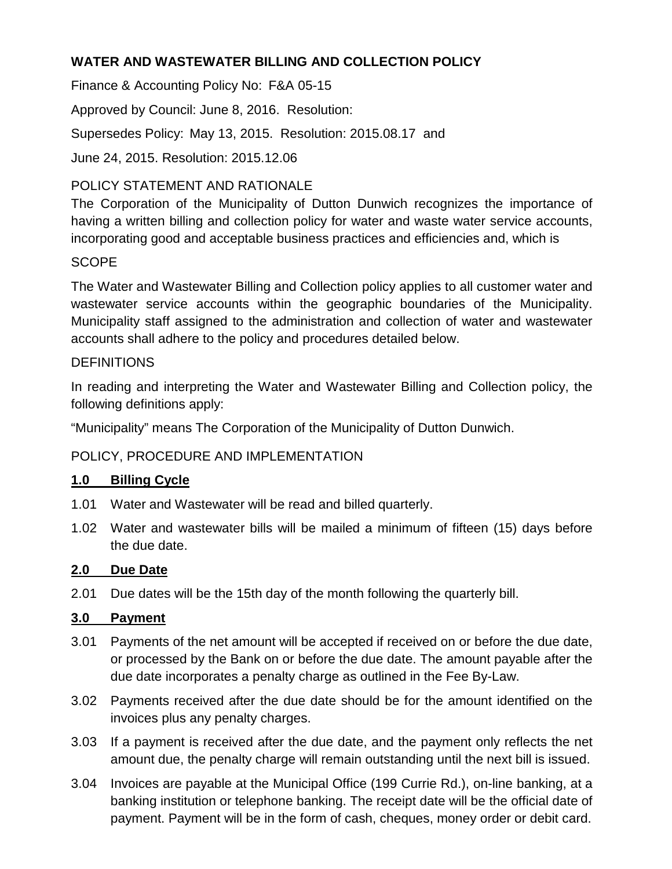### **WATER AND WASTEWATER BILLING AND COLLECTION POLICY**

Finance & Accounting Policy No: F&A 05-15

Approved by Council: June 8, 2016. Resolution:

Supersedes Policy: May 13, 2015. Resolution: 2015.08.17 and

June 24, 2015. Resolution: 2015.12.06

# POLICY STATEMENT AND RATIONALE

The Corporation of the Municipality of Dutton Dunwich recognizes the importance of having a written billing and collection policy for water and waste water service accounts, incorporating good and acceptable business practices and efficiencies and, which is

# **SCOPE**

The Water and Wastewater Billing and Collection policy applies to all customer water and wastewater service accounts within the geographic boundaries of the Municipality. Municipality staff assigned to the administration and collection of water and wastewater accounts shall adhere to the policy and procedures detailed below.

### **DEFINITIONS**

In reading and interpreting the Water and Wastewater Billing and Collection policy, the following definitions apply:

"Municipality" means The Corporation of the Municipality of Dutton Dunwich.

# POLICY, PROCEDURE AND IMPLEMENTATION

# **1.0 Billing Cycle**

- 1.01 Water and Wastewater will be read and billed quarterly.
- 1.02 Water and wastewater bills will be mailed a minimum of fifteen (15) days before the due date.

### **2.0 Due Date**

2.01 Due dates will be the 15th day of the month following the quarterly bill.

### **3.0 Payment**

- 3.01 Payments of the net amount will be accepted if received on or before the due date, or processed by the Bank on or before the due date. The amount payable after the due date incorporates a penalty charge as outlined in the Fee By-Law.
- 3.02 Payments received after the due date should be for the amount identified on the invoices plus any penalty charges.
- 3.03 If a payment is received after the due date, and the payment only reflects the net amount due, the penalty charge will remain outstanding until the next bill is issued.
- 3.04 Invoices are payable at the Municipal Office (199 Currie Rd.), on-line banking, at a banking institution or telephone banking. The receipt date will be the official date of payment. Payment will be in the form of cash, cheques, money order or debit card.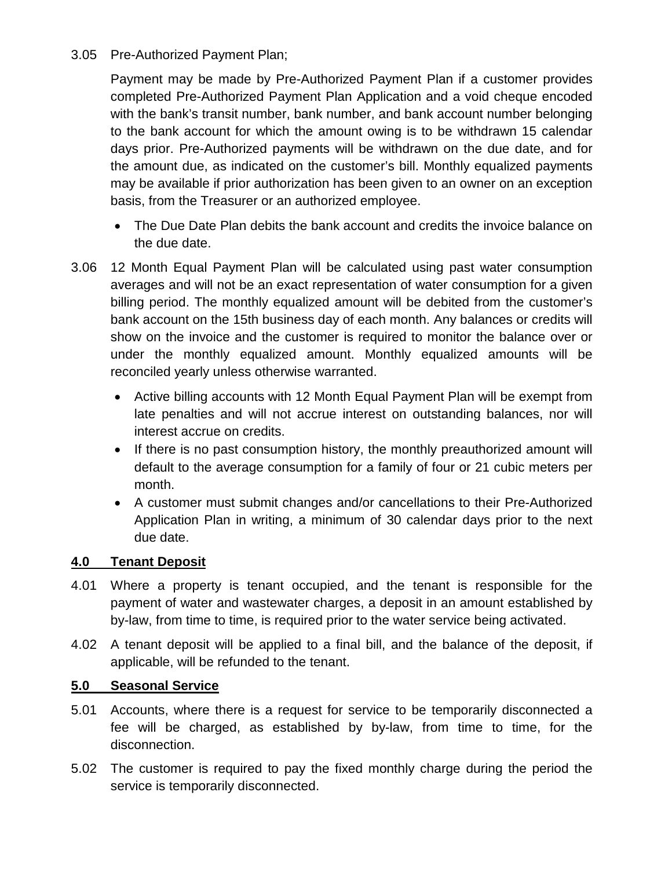### 3.05 Pre-Authorized Payment Plan;

Payment may be made by Pre-Authorized Payment Plan if a customer provides completed Pre-Authorized Payment Plan Application and a void cheque encoded with the bank's transit number, bank number, and bank account number belonging to the bank account for which the amount owing is to be withdrawn 15 calendar days prior. Pre-Authorized payments will be withdrawn on the due date, and for the amount due, as indicated on the customer's bill. Monthly equalized payments may be available if prior authorization has been given to an owner on an exception basis, from the Treasurer or an authorized employee.

- The Due Date Plan debits the bank account and credits the invoice balance on the due date.
- 3.06 12 Month Equal Payment Plan will be calculated using past water consumption averages and will not be an exact representation of water consumption for a given billing period. The monthly equalized amount will be debited from the customer's bank account on the 15th business day of each month. Any balances or credits will show on the invoice and the customer is required to monitor the balance over or under the monthly equalized amount. Monthly equalized amounts will be reconciled yearly unless otherwise warranted.
	- Active billing accounts with 12 Month Equal Payment Plan will be exempt from late penalties and will not accrue interest on outstanding balances, nor will interest accrue on credits.
	- If there is no past consumption history, the monthly preauthorized amount will default to the average consumption for a family of four or 21 cubic meters per month.
	- A customer must submit changes and/or cancellations to their Pre-Authorized Application Plan in writing, a minimum of 30 calendar days prior to the next due date.

### **4.0 Tenant Deposit**

- 4.01 Where a property is tenant occupied, and the tenant is responsible for the payment of water and wastewater charges, a deposit in an amount established by by-law, from time to time, is required prior to the water service being activated.
- 4.02 A tenant deposit will be applied to a final bill, and the balance of the deposit, if applicable, will be refunded to the tenant.

### **5.0 Seasonal Service**

- 5.01 Accounts, where there is a request for service to be temporarily disconnected a fee will be charged, as established by by-law, from time to time, for the disconnection.
- 5.02 The customer is required to pay the fixed monthly charge during the period the service is temporarily disconnected.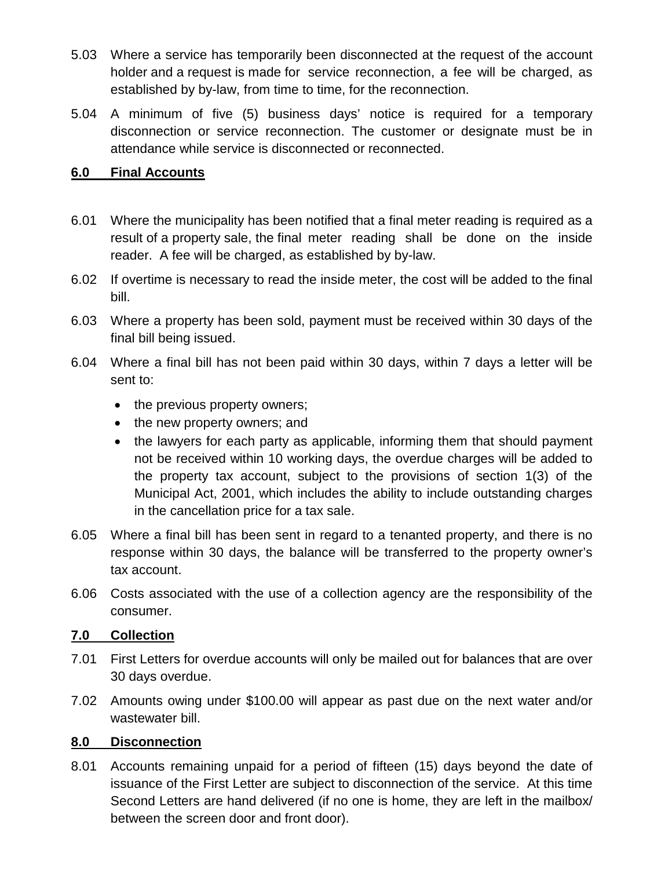- 5.03 Where a service has temporarily been disconnected at the request of the account holder and a request is made for service reconnection, a fee will be charged, as established by by-law, from time to time, for the reconnection.
- 5.04 A minimum of five (5) business days' notice is required for a temporary disconnection or service reconnection. The customer or designate must be in attendance while service is disconnected or reconnected.

### **6.0 Final Accounts**

- 6.01 Where the municipality has been notified that a final meter reading is required as a result of a property sale, the final meter reading shall be done on the inside reader. A fee will be charged, as established by by-law.
- 6.02 If overtime is necessary to read the inside meter, the cost will be added to the final bill.
- 6.03 Where a property has been sold, payment must be received within 30 days of the final bill being issued.
- 6.04 Where a final bill has not been paid within 30 days, within 7 days a letter will be sent to:
	- the previous property owners;
	- the new property owners; and
	- the lawyers for each party as applicable, informing them that should payment not be received within 10 working days, the overdue charges will be added to the property tax account, subject to the provisions of section 1(3) of the Municipal Act, 2001, which includes the ability to include outstanding charges in the cancellation price for a tax sale.
- 6.05 Where a final bill has been sent in regard to a tenanted property, and there is no response within 30 days, the balance will be transferred to the property owner's tax account.
- 6.06 Costs associated with the use of a collection agency are the responsibility of the consumer.

### **7.0 Collection**

- 7.01 First Letters for overdue accounts will only be mailed out for balances that are over 30 days overdue.
- 7.02 Amounts owing under \$100.00 will appear as past due on the next water and/or wastewater bill.

### **8.0 Disconnection**

8.01 Accounts remaining unpaid for a period of fifteen (15) days beyond the date of issuance of the First Letter are subject to disconnection of the service. At this time Second Letters are hand delivered (if no one is home, they are left in the mailbox/ between the screen door and front door).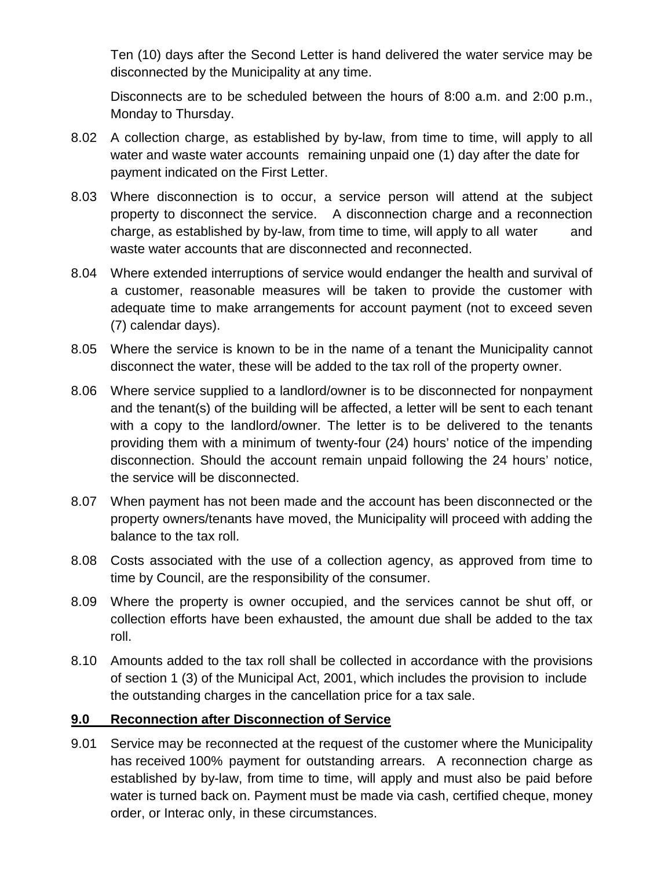Ten (10) days after the Second Letter is hand delivered the water service may be disconnected by the Municipality at any time.

Disconnects are to be scheduled between the hours of 8:00 a.m. and 2:00 p.m., Monday to Thursday.

- 8.02 A collection charge, as established by by-law, from time to time, will apply to all water and waste water accounts remaining unpaid one (1) day after the date for payment indicated on the First Letter.
- 8.03 Where disconnection is to occur, a service person will attend at the subject property to disconnect the service. A disconnection charge and a reconnection charge, as established by by-law, from time to time, will apply to all water and waste water accounts that are disconnected and reconnected.
- 8.04 Where extended interruptions of service would endanger the health and survival of a customer, reasonable measures will be taken to provide the customer with adequate time to make arrangements for account payment (not to exceed seven (7) calendar days).
- 8.05 Where the service is known to be in the name of a tenant the Municipality cannot disconnect the water, these will be added to the tax roll of the property owner.
- 8.06 Where service supplied to a landlord/owner is to be disconnected for nonpayment and the tenant(s) of the building will be affected, a letter will be sent to each tenant with a copy to the landlord/owner. The letter is to be delivered to the tenants providing them with a minimum of twenty-four (24) hours' notice of the impending disconnection. Should the account remain unpaid following the 24 hours' notice, the service will be disconnected.
- 8.07 When payment has not been made and the account has been disconnected or the property owners/tenants have moved, the Municipality will proceed with adding the balance to the tax roll.
- 8.08 Costs associated with the use of a collection agency, as approved from time to time by Council, are the responsibility of the consumer.
- 8.09 Where the property is owner occupied, and the services cannot be shut off, or collection efforts have been exhausted, the amount due shall be added to the tax roll.
- 8.10 Amounts added to the tax roll shall be collected in accordance with the provisions of section 1 (3) of the Municipal Act, 2001, which includes the provision to include the outstanding charges in the cancellation price for a tax sale.

# **9.0 Reconnection after Disconnection of Service**

9.01 Service may be reconnected at the request of the customer where the Municipality has received 100% payment for outstanding arrears. A reconnection charge as established by by-law, from time to time, will apply and must also be paid before water is turned back on. Payment must be made via cash, certified cheque, money order, or Interac only, in these circumstances.